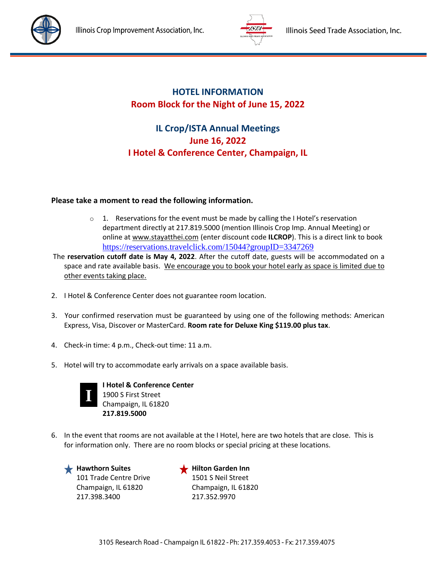



## **HOTEL INFORMATION Room Block for the Night of June 15, 2022**

## **IL Crop/ISTA Annual Meetings June 16, 2022 I Hotel & Conference Center, Champaign, IL**

## **Please take a moment to read the following information.**

- $\circ$  1. Reservations for the event must be made by calling the I Hotel's reservation department directly at 217.819.5000 (mention Illinois Crop Imp. Annual Meeting) or online at www.stayatthei.com (enter discount code **ILCROP**). This is a direct link to book <https://reservations.travelclick.com/15044?groupID=3347269>
- The **reservation cutoff date is May 4, 2022**. After the cutoff date, guests will be accommodated on a space and rate available basis. We encourage you to book your hotel early as space is limited due to other events taking place.
- 2. I Hotel & Conference Center does not guarantee room location.
- 3. Your confirmed reservation must be guaranteed by using one of the following methods: American Express, Visa, Discover or MasterCard. **Room rate for Deluxe King \$119.00 plus tax**.
- 4. Check-in time: 4 p.m., Check-out time: 11 a.m.
- 5. Hotel will try to accommodate early arrivals on a space available basis.



 **I Hotel & Conference Center** 1900 S First Street Champaign, IL 61820 **217.819.5000**

6. In the event that rooms are not available at the I Hotel, here are two hotels that are close. This is for information only. There are no room blocks or special pricing at these locations.

**Hawthorn Suites Hilton Garden Inn** 101 Trade Centre Drive 1501 S Neil Street Champaign, IL 61820 Champaign, IL 61820 217.398.3400 217.352.9970